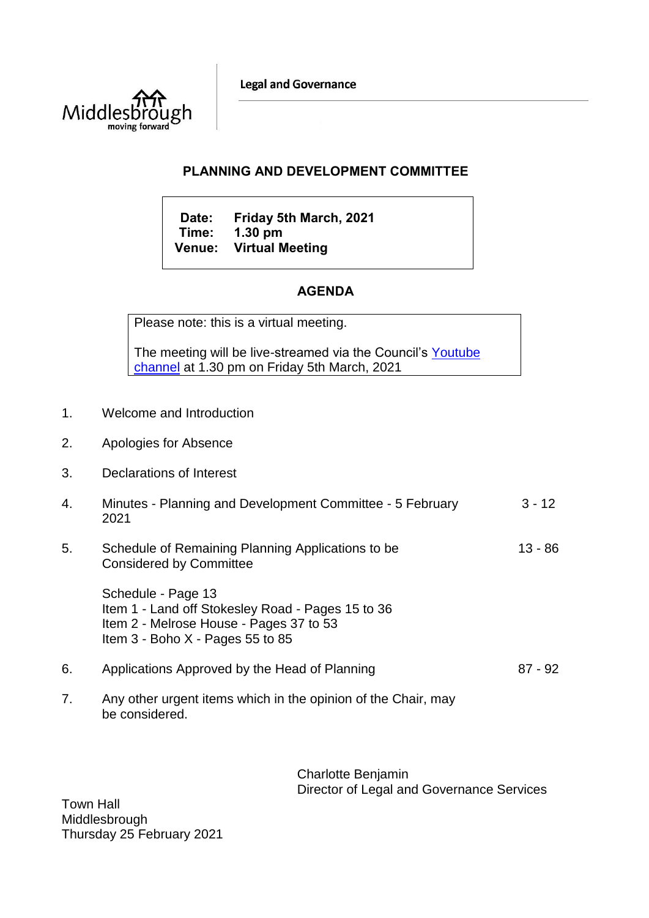**Legal and Governance** 



## **PLANNING AND DEVELOPMENT COMMITTEE**

**Date: Friday 5th March, 2021 Time: 1.30 pm Venue: Virtual Meeting**

## **AGENDA**

Please note: this is a virtual meeting.

The meeting will be live-streamed via the Council's Youtube [channel](https://www.youtube.com/user/middlesbroughcouncil) at 1.30 pm on Friday 5th March, 2021

- 1. Welcome and Introduction
- 2. Apologies for Absence
- 3. Declarations of Interest
- 4. Minutes Planning and Development Committee 5 February 2021  $3 - 12$
- 5. Schedule of Remaining Planning Applications to be Considered by Committee 13 - 86

Schedule - Page 13 Item 1 - Land off Stokesley Road - Pages 15 to 36 Item 2 - Melrose House - Pages 37 to 53 Item 3 - Boho X - Pages 55 to 85

- 6. Applications Approved by the Head of Planning 87 92
- 7. Any other urgent items which in the opinion of the Chair, may be considered.

Charlotte Benjamin Director of Legal and Governance Services